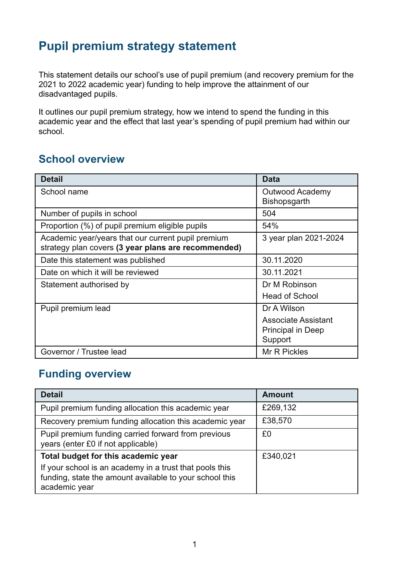# **Pupil premium strategy statement**

This statement details our school's use of pupil premium (and recovery premium for the 2021 to 2022 academic year) funding to help improve the attainment of our disadvantaged pupils.

It outlines our pupil premium strategy, how we intend to spend the funding in this academic year and the effect that last year's spending of pupil premium had within our school.

## **School overview**

| <b>Detail</b>                                                                                             | <b>Data</b>                                                |
|-----------------------------------------------------------------------------------------------------------|------------------------------------------------------------|
| School name                                                                                               | Outwood Academy<br><b>Bishopsgarth</b>                     |
| Number of pupils in school                                                                                | 504                                                        |
| Proportion (%) of pupil premium eligible pupils                                                           | 54%                                                        |
| Academic year/years that our current pupil premium<br>strategy plan covers (3 year plans are recommended) | 3 year plan 2021-2024                                      |
| Date this statement was published                                                                         | 30.11.2020                                                 |
| Date on which it will be reviewed                                                                         | 30.11.2021                                                 |
| Statement authorised by                                                                                   | Dr M Robinson                                              |
|                                                                                                           | <b>Head of School</b>                                      |
| Pupil premium lead                                                                                        | Dr A Wilson                                                |
|                                                                                                           | <b>Associate Assistant</b><br>Principal in Deep<br>Support |
| Governor / Trustee lead                                                                                   | Mr R Pickles                                               |

### **Funding overview**

| <b>Detail</b>                                                                                                                       | <b>Amount</b> |
|-------------------------------------------------------------------------------------------------------------------------------------|---------------|
| Pupil premium funding allocation this academic year                                                                                 | £269,132      |
| Recovery premium funding allocation this academic year                                                                              | £38,570       |
| Pupil premium funding carried forward from previous<br>years (enter £0 if not applicable)                                           | £0            |
| Total budget for this academic year                                                                                                 | £340,021      |
| If your school is an academy in a trust that pools this<br>funding, state the amount available to your school this<br>academic year |               |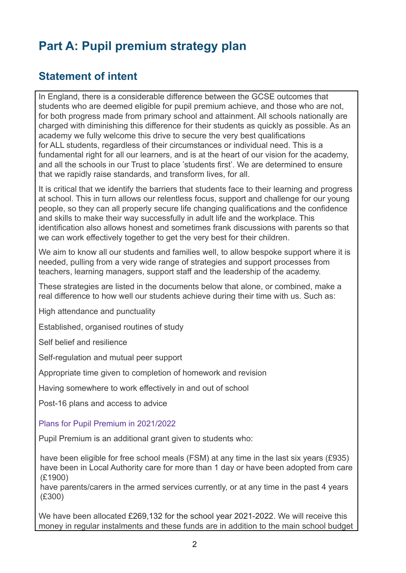# **Part A: Pupil premium strategy plan**

### **Statement of intent**

In England, there is a considerable difference between the GCSE outcomes that students who are deemed eligible for pupil premium achieve, and those who are not, for both progress made from primary school and attainment. All schools nationally are charged with diminishing this difference for their students as quickly as possible. As an academy we fully welcome this drive to secure the very best qualifications for ALL students, regardless of their circumstances or individual need. This is a fundamental right for all our learners, and is at the heart of our vision for the academy, and all the schools in our Trust to place 'students first'. We are determined to ensure that we rapidly raise standards, and transform lives, for all.

It is critical that we identify the barriers that students face to their learning and progress at school. This in turn allows our relentless focus, support and challenge for our young people, so they can all properly secure life changing qualifications and the confidence and skills to make their way successfully in adult life and the workplace. This identification also allows honest and sometimes frank discussions with parents so that we can work effectively together to get the very best for their children.

We aim to know all our students and families well, to allow bespoke support where it is needed, pulling from a very wide range of strategies and support processes from teachers, learning managers, support staff and the leadership of the academy.

These strategies are listed in the documents below that alone, or combined, make a real difference to how well our students achieve during their time with us. Such as:

High attendance and punctuality

Established, organised routines of study

Self belief and resilience

Self-regulation and mutual peer support

Appropriate time given to completion of homework and revision

Having somewhere to work effectively in and out of school

Post-16 plans and access to advice

#### Plans for Pupil Premium in 2021/2022

Pupil Premium is an additional grant given to students who:

have been eligible for free school meals (FSM) at any time in the last six years (£935) have been in Local Authority care for more than 1 day or have been adopted from care (£1900)

have parents/carers in the armed services currently, or at any time in the past 4 years (£300)

We have been allocated £269,132 for the school year 2021-2022. We will receive this money in regular instalments and these funds are in addition to the main school budget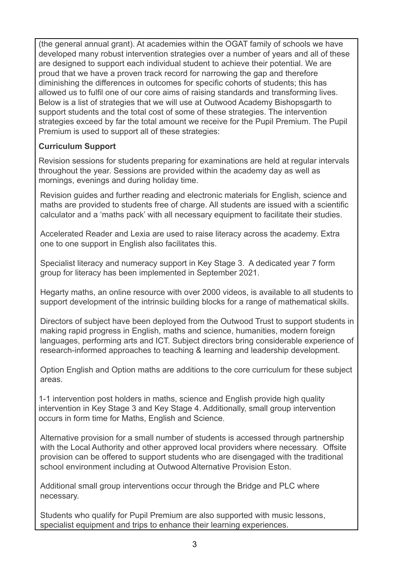(the general annual grant). At academies within the OGAT family of schools we have developed many robust intervention strategies over a number of years and all of these are designed to support each individual student to achieve their potential. We are proud that we have a proven track record for narrowing the gap and therefore diminishing the differences in outcomes for specific cohorts of students; this has allowed us to fulfil one of our core aims of raising standards and transforming lives. Below is a list of strategies that we will use at Outwood Academy Bishopsgarth to support students and the total cost of some of these strategies. The intervention strategies exceed by far the total amount we receive for the Pupil Premium. The Pupil Premium is used to support all of these strategies:

#### **Curriculum Support**

Revision sessions for students preparing for examinations are held at regular intervals throughout the year. Sessions are provided within the academy day as well as mornings, evenings and during holiday time.

Revision guides and further reading and electronic materials for English, science and maths are provided to students free of charge. All students are issued with a scientific calculator and a 'maths pack' with all necessary equipment to facilitate their studies.

Accelerated Reader and Lexia are used to raise literacy across the academy. Extra one to one support in English also facilitates this.

Specialist literacy and numeracy support in Key Stage 3. A dedicated year 7 form group for literacy has been implemented in September 2021.

Hegarty maths, an online resource with over 2000 videos, is available to all students to support development of the intrinsic building blocks for a range of mathematical skills.

Directors of subject have been deployed from the Outwood Trust to support students in making rapid progress in English, maths and science, humanities, modern foreign languages, performing arts and ICT. Subject directors bring considerable experience of research-informed approaches to teaching & learning and leadership development.

Option English and Option maths are additions to the core curriculum for these subject areas.

1-1 intervention post holders in maths, science and English provide high quality intervention in Key Stage 3 and Key Stage 4. Additionally, small group intervention occurs in form time for Maths, English and Science.

Alternative provision for a small number of students is accessed through partnership with the Local Authority and other approved local providers where necessary. Offsite provision can be offered to support students who are disengaged with the traditional school environment including at Outwood Alternative Provision Eston.

Additional small group interventions occur through the Bridge and PLC where necessary.

Students who qualify for Pupil Premium are also supported with music lessons, specialist equipment and trips to enhance their learning experiences.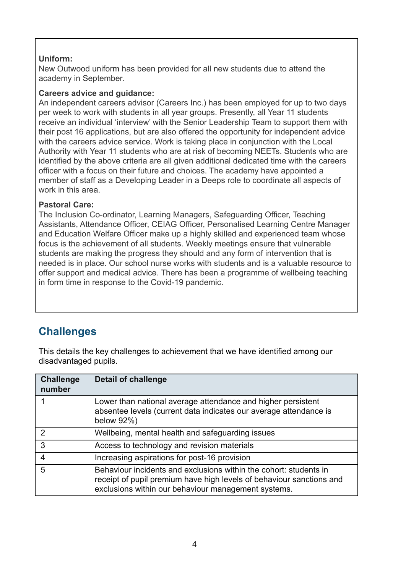#### **Uniform:**

New Outwood uniform has been provided for all new students due to attend the academy in September.

#### **Careers advice and guidance:**

An independent careers advisor (Careers Inc.) has been employed for up to two days per week to work with students in all year groups. Presently, all Year 11 students receive an individual 'interview' with the Senior Leadership Team to support them with their post 16 applications, but are also offered the opportunity for independent advice with the careers advice service. Work is taking place in conjunction with the Local Authority with Year 11 students who are at risk of becoming NEETs. Students who are identified by the above criteria are all given additional dedicated time with the careers officer with a focus on their future and choices. The academy have appointed a member of staff as a Developing Leader in a Deeps role to coordinate all aspects of work in this area.

#### **Pastoral Care:**

The Inclusion Co-ordinator, Learning Managers, Safeguarding Officer, Teaching Assistants, Attendance Officer, CEIAG Officer, Personalised Learning Centre Manager and Education Welfare Officer make up a highly skilled and experienced team whose focus is the achievement of all students. Weekly meetings ensure that vulnerable students are making the progress they should and any form of intervention that is needed is in place. Our school nurse works with students and is a valuable resource to offer support and medical advice. There has been a programme of wellbeing teaching in form time in response to the Covid-19 pandemic.

## **Challenges**

This details the key challenges to achievement that we have identified among our disadvantaged pupils.

| <b>Challenge</b><br>number | <b>Detail of challenge</b>                                                                                                                                                                       |
|----------------------------|--------------------------------------------------------------------------------------------------------------------------------------------------------------------------------------------------|
|                            | Lower than national average attendance and higher persistent<br>absentee levels (current data indicates our average attendance is<br>below 92%)                                                  |
| 2                          | Wellbeing, mental health and safeguarding issues                                                                                                                                                 |
| 3                          | Access to technology and revision materials                                                                                                                                                      |
| 4                          | Increasing aspirations for post-16 provision                                                                                                                                                     |
| 5                          | Behaviour incidents and exclusions within the cohort: students in<br>receipt of pupil premium have high levels of behaviour sanctions and<br>exclusions within our behaviour management systems. |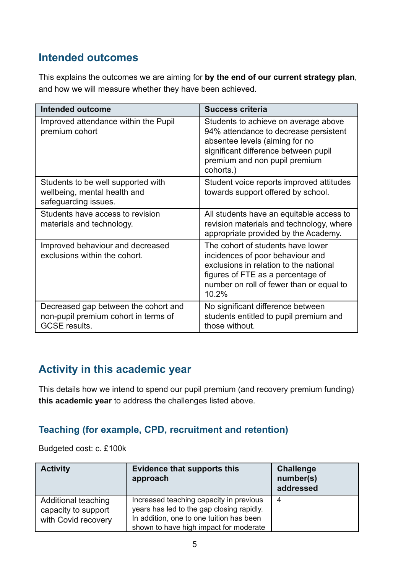## **Intended outcomes**

This explains the outcomes we are aiming for **by the end of our current strategy plan**, and how we will measure whether they have been achieved.

| <b>Intended outcome</b>                                                                              | <b>Success criteria</b>                                                                                                                                                                                   |
|------------------------------------------------------------------------------------------------------|-----------------------------------------------------------------------------------------------------------------------------------------------------------------------------------------------------------|
| Improved attendance within the Pupil<br>premium cohort                                               | Students to achieve on average above<br>94% attendance to decrease persistent<br>absentee levels (aiming for no<br>significant difference between pupil<br>premium and non pupil premium<br>cohorts.)     |
| Students to be well supported with<br>wellbeing, mental health and<br>safeguarding issues.           | Student voice reports improved attitudes<br>towards support offered by school.                                                                                                                            |
| Students have access to revision<br>materials and technology.                                        | All students have an equitable access to<br>revision materials and technology, where<br>appropriate provided by the Academy.                                                                              |
| Improved behaviour and decreased<br>exclusions within the cohort.                                    | The cohort of students have lower<br>incidences of poor behaviour and<br>exclusions in relation to the national<br>figures of FTE as a percentage of<br>number on roll of fewer than or equal to<br>10.2% |
| Decreased gap between the cohort and<br>non-pupil premium cohort in terms of<br><b>GCSE</b> results. | No significant difference between<br>students entitled to pupil premium and<br>those without.                                                                                                             |

## **Activity in this academic year**

This details how we intend to spend our pupil premium (and recovery premium funding) **this academic year** to address the challenges listed above.

#### **Teaching (for example, CPD, recruitment and retention)**

Budgeted cost: c. £100k

| <b>Activity</b>                                                   | <b>Evidence that supports this</b><br>approach                                                                                                                             | <b>Challenge</b><br>number(s)<br>addressed |
|-------------------------------------------------------------------|----------------------------------------------------------------------------------------------------------------------------------------------------------------------------|--------------------------------------------|
| Additional teaching<br>capacity to support<br>with Covid recovery | Increased teaching capacity in previous<br>years has led to the gap closing rapidly.<br>In addition, one to one tuition has been<br>shown to have high impact for moderate | 4                                          |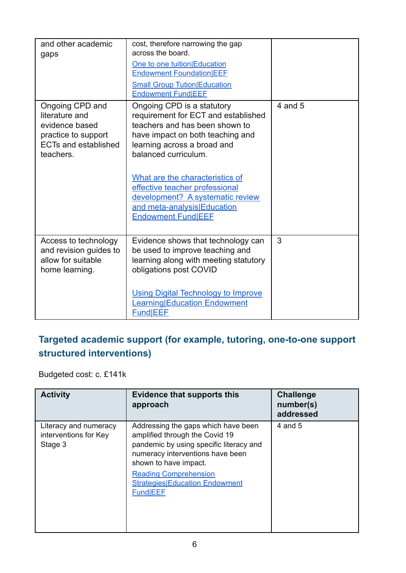| and other academic<br>gaps                                                                                             | cost, therefore narrowing the gap<br>across the board.<br>One to one tuition Education<br><b>Endowment Foundation EEF</b><br><b>Small Group Tution Education</b><br><b>Endowment FundIEEF</b>                                                                                                                                                                       |             |
|------------------------------------------------------------------------------------------------------------------------|---------------------------------------------------------------------------------------------------------------------------------------------------------------------------------------------------------------------------------------------------------------------------------------------------------------------------------------------------------------------|-------------|
| Ongoing CPD and<br>literature and<br>evidence based<br>practice to support<br><b>ECTs and established</b><br>teachers. | Ongoing CPD is a statutory<br>requirement for ECT and established<br>teachers and has been shown to<br>have impact on both teaching and<br>learning across a broad and<br>balanced curriculum.<br>What are the characteristics of<br>effective teacher professional<br>development? A systematic review<br>and meta-analysis Education<br><b>Endowment Fund EEE</b> | $4$ and $5$ |
| Access to technology<br>and revision guides to<br>allow for suitable<br>home learning.                                 | Evidence shows that technology can<br>be used to improve teaching and<br>learning along with meeting statutory<br>obligations post COVID<br><b>Using Digital Technology to Improve</b><br>Learning Education Endowment<br><b>Fund EEF</b>                                                                                                                           | 3           |

### **Targeted academic support (for example, tutoring, one-to-one support structured interventions)**

Budgeted cost: c. £141k

| <b>Activity</b>                                           | <b>Evidence that supports this</b><br>approach                                                                                                                                                                                                                            | <b>Challenge</b><br>number(s)<br>addressed |
|-----------------------------------------------------------|---------------------------------------------------------------------------------------------------------------------------------------------------------------------------------------------------------------------------------------------------------------------------|--------------------------------------------|
| Literacy and numeracy<br>interventions for Key<br>Stage 3 | Addressing the gaps which have been<br>amplified through the Covid 19<br>pandemic by using specific literacy and<br>numeracy interventions have been<br>shown to have impact.<br><b>Reading Comprehension</b><br><b>Strategies Education Endowment</b><br><b>Fund EEF</b> | 4 and 5                                    |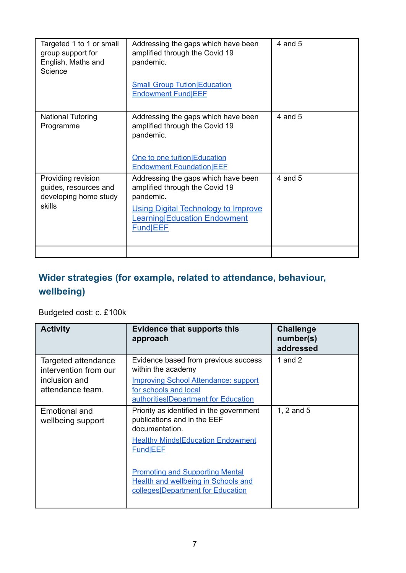| Targeted 1 to 1 or small<br>group support for<br>English, Maths and<br>Science | Addressing the gaps which have been<br>amplified through the Covid 19<br>pandemic.<br><b>Small Group Tution Education</b><br><b>Endowment Fund EEE</b>                       | 4 and 5     |
|--------------------------------------------------------------------------------|------------------------------------------------------------------------------------------------------------------------------------------------------------------------------|-------------|
| <b>National Tutoring</b><br>Programme                                          | Addressing the gaps which have been<br>amplified through the Covid 19<br>pandemic.<br>One to one tuition Education<br><b>Endowment FoundationIEEE</b>                        | 4 and 5     |
| Providing revision<br>guides, resources and<br>developing home study<br>skills | Addressing the gaps which have been<br>amplified through the Covid 19<br>pandemic.<br><b>Using Digital Technology to Improve</b><br>Learning Education Endowment<br>Fund EEF | $4$ and $5$ |
|                                                                                |                                                                                                                                                                              |             |

## **Wider strategies (for example, related to attendance, behaviour, wellbeing)**

### Budgeted cost: c. £100k

| <b>Activity</b>                                                                   | <b>Evidence that supports this</b><br>approach                                                                                                                                                                                                                                 | <b>Challenge</b><br>number(s)<br>addressed |
|-----------------------------------------------------------------------------------|--------------------------------------------------------------------------------------------------------------------------------------------------------------------------------------------------------------------------------------------------------------------------------|--------------------------------------------|
| Targeted attendance<br>intervention from our<br>inclusion and<br>attendance team. | Evidence based from previous success<br>within the academy<br><b>Improving School Attendance: support</b><br>for schools and local<br>authorities Department for Education                                                                                                     | 1 and $2$                                  |
| Emotional and<br>wellbeing support                                                | Priority as identified in the government<br>publications and in the EEF<br>documentation.<br><b>Healthy Minds Education Endowment</b><br>Fund EEF<br><b>Promoting and Supporting Mental</b><br><b>Health and wellbeing in Schools and</b><br>colleges Department for Education | 1, $2$ and $5$                             |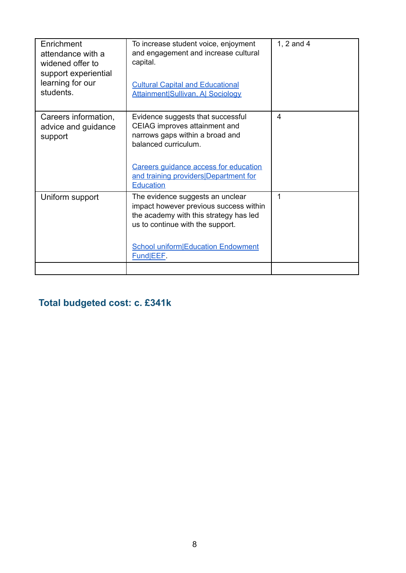| Enrichment<br>attendance with a<br>widened offer to<br>support experiential<br>learning for our<br>students. | To increase student voice, enjoyment<br>and engagement and increase cultural<br>capital.<br><b>Cultural Capital and Educational</b><br><b>Attainment Sullivan, A  Sociology</b>                                                     | 1, 2 and 4              |
|--------------------------------------------------------------------------------------------------------------|-------------------------------------------------------------------------------------------------------------------------------------------------------------------------------------------------------------------------------------|-------------------------|
| Careers information,<br>advice and guidance<br>support                                                       | Evidence suggests that successful<br>CEIAG improves attainment and<br>narrows gaps within a broad and<br>balanced curriculum.<br>Careers guidance access for education<br>and training providers Department for<br><b>Education</b> | $\overline{\mathbf{4}}$ |
| Uniform support                                                                                              | The evidence suggests an unclear<br>impact however previous success within<br>the academy with this strategy has led<br>us to continue with the support.<br><b>School uniform Education Endowment</b><br>Fund EEF.                  | 1                       |
|                                                                                                              |                                                                                                                                                                                                                                     |                         |

## **Total budgeted cost: c. £341k**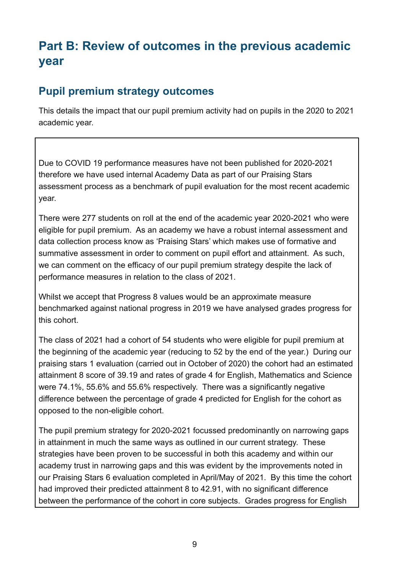# **Part B: Review of outcomes in the previous academic year**

### **Pupil premium strategy outcomes**

This details the impact that our pupil premium activity had on pupils in the 2020 to 2021 academic year.

Due to COVID 19 performance measures have not been published for 2020-2021 therefore we have used internal Academy Data as part of our Praising Stars assessment process as a benchmark of pupil evaluation for the most recent academic year.

There were 277 students on roll at the end of the academic year 2020-2021 who were eligible for pupil premium. As an academy we have a robust internal assessment and data collection process know as 'Praising Stars' which makes use of formative and summative assessment in order to comment on pupil effort and attainment. As such, we can comment on the efficacy of our pupil premium strategy despite the lack of performance measures in relation to the class of 2021.

Whilst we accept that Progress 8 values would be an approximate measure benchmarked against national progress in 2019 we have analysed grades progress for this cohort.

The class of 2021 had a cohort of 54 students who were eligible for pupil premium at the beginning of the academic year (reducing to 52 by the end of the year.) During our praising stars 1 evaluation (carried out in October of 2020) the cohort had an estimated attainment 8 score of 39.19 and rates of grade 4 for English, Mathematics and Science were 74.1%, 55.6% and 55.6% respectively. There was a significantly negative difference between the percentage of grade 4 predicted for English for the cohort as opposed to the non-eligible cohort.

The pupil premium strategy for 2020-2021 focussed predominantly on narrowing gaps in attainment in much the same ways as outlined in our current strategy. These strategies have been proven to be successful in both this academy and within our academy trust in narrowing gaps and this was evident by the improvements noted in our Praising Stars 6 evaluation completed in April/May of 2021. By this time the cohort had improved their predicted attainment 8 to 42.91, with no significant difference between the performance of the cohort in core subjects. Grades progress for English